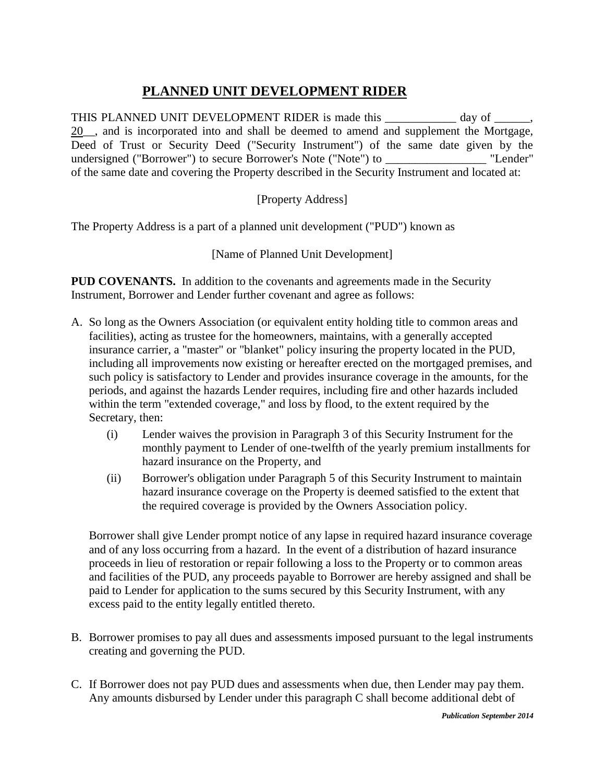## **PLANNED UNIT DEVELOPMENT RIDER**

THIS PLANNED UNIT DEVELOPMENT RIDER is made this \_\_\_\_\_\_\_\_\_\_\_\_ day of \_\_\_\_\_, 20. and is incorporated into and shall be deemed to amend and supplement the Mortgage, Deed of Trust or Security Deed ("Security Instrument") of the same date given by the undersigned ("Borrower") to secure Borrower's Note ("Note") to \_\_\_\_\_\_\_\_\_\_\_\_ "Lender" of the same date and covering the Property described in the Security Instrument and located at:

[Property Address]

The Property Address is a part of a planned unit development ("PUD") known as

[Name of Planned Unit Development]

**PUD COVENANTS.** In addition to the covenants and agreements made in the Security Instrument, Borrower and Lender further covenant and agree as follows:

- A. So long as the Owners Association (or equivalent entity holding title to common areas and facilities), acting as trustee for the homeowners, maintains, with a generally accepted insurance carrier, a "master" or "blanket" policy insuring the property located in the PUD, including all improvements now existing or hereafter erected on the mortgaged premises, and such policy is satisfactory to Lender and provides insurance coverage in the amounts, for the periods, and against the hazards Lender requires, including fire and other hazards included within the term "extended coverage," and loss by flood, to the extent required by the Secretary, then:
	- (i) Lender waives the provision in Paragraph 3 of this Security Instrument for the monthly payment to Lender of one-twelfth of the yearly premium installments for hazard insurance on the Property, and
	- (ii) Borrower's obligation under Paragraph 5 of this Security Instrument to maintain hazard insurance coverage on the Property is deemed satisfied to the extent that the required coverage is provided by the Owners Association policy.

Borrower shall give Lender prompt notice of any lapse in required hazard insurance coverage and of any loss occurring from a hazard. In the event of a distribution of hazard insurance proceeds in lieu of restoration or repair following a loss to the Property or to common areas and facilities of the PUD, any proceeds payable to Borrower are hereby assigned and shall be paid to Lender for application to the sums secured by this Security Instrument, with any excess paid to the entity legally entitled thereto.

- B. Borrower promises to pay all dues and assessments imposed pursuant to the legal instruments creating and governing the PUD.
- C. If Borrower does not pay PUD dues and assessments when due, then Lender may pay them. Any amounts disbursed by Lender under this paragraph C shall become additional debt of